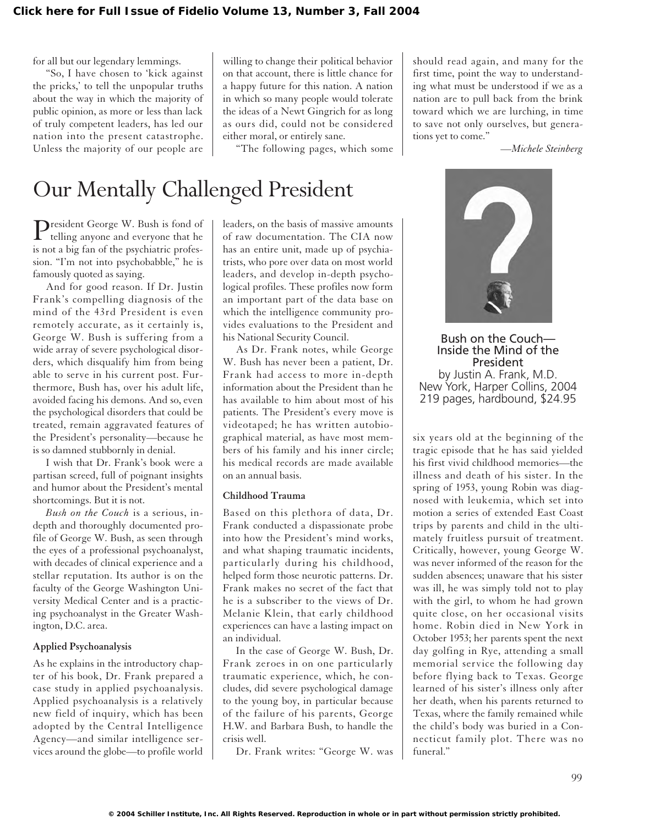for all but our legendary lemmings.

"So, I have chosen to 'kick against the pricks,' to tell the unpopular truths about the way in which the majority of public opinion, as more or less than lack of truly competent leaders, has led our nation into the present catastrophe. Unless the majority of our people are willing to change their political behavior on that account, there is little chance for a happy future for this nation. A nation in which so many people would tolerate the ideas of a Newt Gingrich for as long as ours did, could not be considered either moral, or entirely sane.

"The following pages, which some

should read again, and many for the first time, point the way to understanding what must be understood if we as a nation are to pull back from the brink toward which we are lurching, in time to save not only ourselves, but generations yet to come."

*—Michele Steinberg*

## Our Mentally Challenged President

President George W. Bush is fond of telling anyone and everyone that he is not a big fan of the psychiatric profession. "I'm not into psychobabble," he is famously quoted as saying.

And for good reason. If Dr. Justin Frank's compelling diagnosis of the mind of the 43rd President is even remotely accurate, as it certainly is, George W. Bush is suffering from a wide array of severe psychological disorders, which disqualify him from being able to serve in his current post. Furthermore, Bush has, over his adult life, avoided facing his demons. And so, even the psychological disorders that could be treated, remain aggravated features of the President's personality—because he is so damned stubbornly in denial.

I wish that Dr. Frank's book were a partisan screed, full of poignant insights and humor about the President's mental shortcomings. But it is not.

*Bush on the Couch* is a serious, indepth and thoroughly documented profile of George W. Bush, as seen through the eyes of a professional psychoanalyst, with decades of clinical experience and a stellar reputation. Its author is on the faculty of the George Washington University Medical Center and is a practicing psychoanalyst in the Greater Washington, D.C. area.

### **Applied Psychoanalysis**

As he explains in the introductory chapter of his book, Dr. Frank prepared a case study in applied psychoanalysis. Applied psychoanalysis is a relatively new field of inquiry, which has been adopted by the Central Intelligence Agency—and similar intelligence services around the globe—to profile world leaders, on the basis of massive amounts of raw documentation. The CIA now has an entire unit, made up of psychiatrists, who pore over data on most world leaders, and develop in-depth psychological profiles. These profiles now form an important part of the data base on which the intelligence community provides evaluations to the President and his National Security Council.

As Dr. Frank notes, while George W. Bush has never been a patient, Dr. Frank had access to more in-depth information about the President than he has available to him about most of his patients. The President's every move is videotaped; he has written autobiographical material, as have most members of his family and his inner circle; his medical records are made available on an annual basis.

### **Childhood Trauma**

Based on this plethora of data, Dr. Frank conducted a dispassionate probe into how the President's mind works, and what shaping traumatic incidents, particularly during his childhood, helped form those neurotic patterns. Dr. Frank makes no secret of the fact that he is a subscriber to the views of Dr. Melanie Klein, that early childhood experiences can have a lasting impact on an individual.

In the case of George W. Bush, Dr. Frank zeroes in on one particularly traumatic experience, which, he concludes, did severe psychological damage to the young boy, in particular because of the failure of his parents, George H.W. and Barbara Bush, to handle the crisis well.

Dr. Frank writes: "George W. was



Bush on the Couch— Inside the Mind of the President by Justin A. Frank, M.D. New York, Harper Collins, 2004 219 pages, hardbound, \$24.95

six years old at the beginning of the tragic episode that he has said yielded his first vivid childhood memories—the illness and death of his sister. In the spring of 1953, young Robin was diagnosed with leukemia, which set into motion a series of extended East Coast trips by parents and child in the ultimately fruitless pursuit of treatment. Critically, however, young George W. was never informed of the reason for the sudden absences; unaware that his sister was ill, he was simply told not to play with the girl, to whom he had grown quite close, on her occasional visits home. Robin died in New York in October 1953; her parents spent the next day golfing in Rye, attending a small memorial service the following day before flying back to Texas. George learned of his sister's illness only after her death, when his parents returned to Texas, where the family remained while the child's body was buried in a Connecticut family plot. There was no funeral."